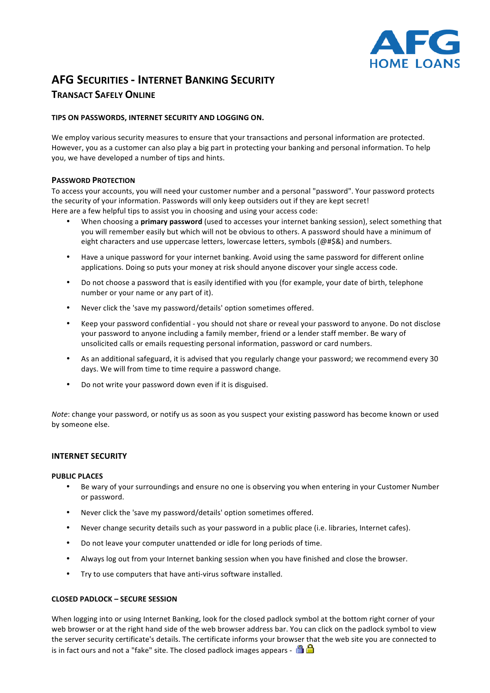

# **AFG SECURITIES - INTERNET BANKING SECURITY TRANSACT SAFELY ONLINE**

# **TIPS ON PASSWORDS, INTERNET SECURITY AND LOGGING ON.**

We employ various security measures to ensure that your transactions and personal information are protected. However, you as a customer can also play a big part in protecting your banking and personal information. To help you, we have developed a number of tips and hints.

## **PASSWORD PROTECTION**

To access your accounts, you will need your customer number and a personal "password". Your password protects the security of your information. Passwords will only keep outsiders out if they are kept secret! Here are a few helpful tips to assist you in choosing and using your access code:

- When choosing a **primary password** (used to accesses your internet banking session), select something that you will remember easily but which will not be obvious to others. A password should have a minimum of eight characters and use uppercase letters, lowercase letters, symbols (@#\$&) and numbers.
- Have a unique password for your internet banking. Avoid using the same password for different online applications. Doing so puts your money at risk should anyone discover your single access code.
- Do not choose a password that is easily identified with you (for example, your date of birth, telephone number or your name or any part of it).
- Never click the 'save my password/details' option sometimes offered.
- Keep your password confidential you should not share or reveal your password to anyone. Do not disclose your password to anyone including a family member, friend or a lender staff member. Be wary of unsolicited calls or emails requesting personal information, password or card numbers.
- As an additional safeguard, it is advised that you regularly change your password; we recommend every 30 days. We will from time to time require a password change.
- Do not write your password down even if it is disguised.

*Note*: change your password, or notify us as soon as you suspect your existing password has become known or used by someone else.

# **INTERNET SECURITY**

## **PUBLIC PLACES**

- Be wary of your surroundings and ensure no one is observing you when entering in your Customer Number or password.
- Never click the 'save my password/details' option sometimes offered.
- Never change security details such as your password in a public place (i.e. libraries, Internet cafes).
- Do not leave your computer unattended or idle for long periods of time.
- Always log out from your Internet banking session when you have finished and close the browser.
- Try to use computers that have anti-virus software installed.

# **CLOSED PADLOCK – SECURE SESSION**

When logging into or using Internet Banking, look for the closed padlock symbol at the bottom right corner of your web browser or at the right hand side of the web browser address bar. You can click on the padlock symbol to view the server security certificate's details. The certificate informs your browser that the web site you are connected to is in fact ours and not a "fake" site. The closed padlock images appears -  $\Box$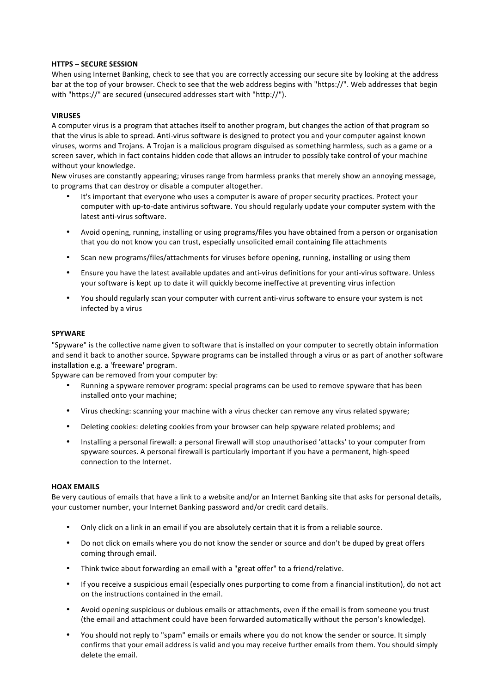#### **HTTPS – SECURE SESSION**

When using Internet Banking, check to see that you are correctly accessing our secure site by looking at the address bar at the top of your browser. Check to see that the web address begins with "https://". Web addresses that begin with "https://" are secured (unsecured addresses start with "http://").

#### **VIRUSES**

A computer virus is a program that attaches itself to another program, but changes the action of that program so that the virus is able to spread. Anti-virus software is designed to protect you and your computer against known viruses, worms and Trojans. A Trojan is a malicious program disguised as something harmless, such as a game or a screen saver, which in fact contains hidden code that allows an intruder to possibly take control of your machine without your knowledge.

New viruses are constantly appearing; viruses range from harmless pranks that merely show an annoying message, to programs that can destroy or disable a computer altogether.

- It's important that everyone who uses a computer is aware of proper security practices. Protect your computer with up-to-date antivirus software. You should regularly update your computer system with the latest anti-virus software.
- Avoid opening, running, installing or using programs/files you have obtained from a person or organisation that you do not know you can trust, especially unsolicited email containing file attachments
- Scan new programs/files/attachments for viruses before opening, running, installing or using them
- Ensure you have the latest available updates and anti-virus definitions for your anti-virus software. Unless your software is kept up to date it will quickly become ineffective at preventing virus infection
- You should regularly scan your computer with current anti-virus software to ensure your system is not infected by a virus

#### **SPYWARE**

"Spyware" is the collective name given to software that is installed on your computer to secretly obtain information and send it back to another source. Spyware programs can be installed through a virus or as part of another software installation e.g. a 'freeware' program.

Spyware can be removed from your computer by:

- Running a spyware remover program: special programs can be used to remove spyware that has been installed onto your machine:
- Virus checking: scanning your machine with a virus checker can remove any virus related spyware;
- Deleting cookies: deleting cookies from your browser can help spyware related problems; and
- Installing a personal firewall: a personal firewall will stop unauthorised 'attacks' to your computer from spyware sources. A personal firewall is particularly important if you have a permanent, high-speed connection to the Internet.

#### **HOAX EMAILS**

Be very cautious of emails that have a link to a website and/or an Internet Banking site that asks for personal details, your customer number, your Internet Banking password and/or credit card details.

- Only click on a link in an email if you are absolutely certain that it is from a reliable source.
- Do not click on emails where you do not know the sender or source and don't be duped by great offers coming through email.
- Think twice about forwarding an email with a "great offer" to a friend/relative.
- If you receive a suspicious email (especially ones purporting to come from a financial institution), do not act on the instructions contained in the email.
- Avoid opening suspicious or dubious emails or attachments, even if the email is from someone you trust (the email and attachment could have been forwarded automatically without the person's knowledge).
- You should not reply to "spam" emails or emails where you do not know the sender or source. It simply confirms that your email address is valid and you may receive further emails from them. You should simply delete the email.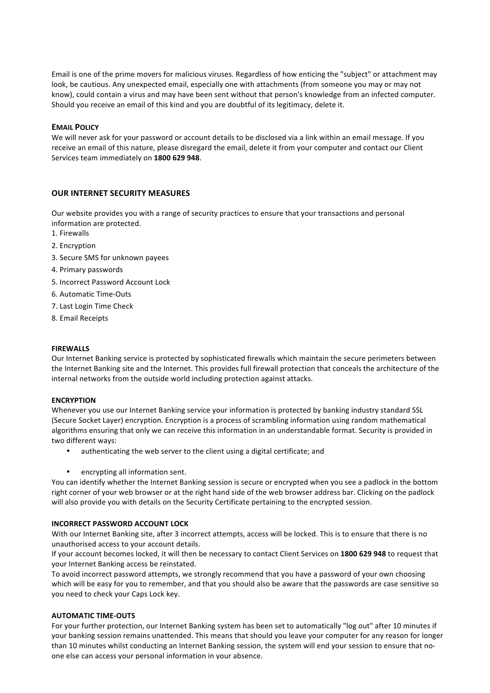Email is one of the prime movers for malicious viruses. Regardless of how enticing the "subject" or attachment may look, be cautious. Any unexpected email, especially one with attachments (from someone you may or may not know), could contain a virus and may have been sent without that person's knowledge from an infected computer. Should you receive an email of this kind and you are doubtful of its legitimacy, delete it.

## **EMAIL POLICY**

We will never ask for your password or account details to be disclosed via a link within an email message. If you receive an email of this nature, please disregard the email, delete it from your computer and contact our Client Services team immediately on 1800 629 948.

# **OUR INTERNET SECURITY MEASURES**

Our website provides you with a range of security practices to ensure that your transactions and personal information are protected.

- 1. Firewalls
- 2. Encryption
- 3. Secure SMS for unknown payees
- 4. Primary passwords
- 5. Incorrect Password Account Lock
- 6. Automatic Time-Outs
- 7. Last Login Time Check
- 8. Email Receipts

#### **FIREWALLS**

Our Internet Banking service is protected by sophisticated firewalls which maintain the secure perimeters between the Internet Banking site and the Internet. This provides full firewall protection that conceals the architecture of the internal networks from the outside world including protection against attacks.

## **ENCRYPTION**

Whenever you use our Internet Banking service your information is protected by banking industry standard SSL (Secure Socket Layer) encryption. Encryption is a process of scrambling information using random mathematical algorithms ensuring that only we can receive this information in an understandable format. Security is provided in two different ways:

- authenticating the web server to the client using a digital certificate; and
- encrypting all information sent.

You can identify whether the Internet Banking session is secure or encrypted when you see a padlock in the bottom right corner of your web browser or at the right hand side of the web browser address bar. Clicking on the padlock will also provide you with details on the Security Certificate pertaining to the encrypted session.

## **INCORRECT PASSWORD ACCOUNT LOCK**

With our Internet Banking site, after 3 incorrect attempts, access will be locked. This is to ensure that there is no unauthorised access to your account details.

If your account becomes locked, it will then be necessary to contact Client Services on 1800 629 948 to request that vour Internet Banking access be reinstated.

To avoid incorrect password attempts, we strongly recommend that you have a password of your own choosing which will be easy for you to remember, and that you should also be aware that the passwords are case sensitive so you need to check your Caps Lock key.

## **AUTOMATIC TIME-OUTS**

For your further protection, our Internet Banking system has been set to automatically "log out" after 10 minutes if your banking session remains unattended. This means that should you leave your computer for any reason for longer than 10 minutes whilst conducting an Internet Banking session, the system will end your session to ensure that noone else can access your personal information in your absence.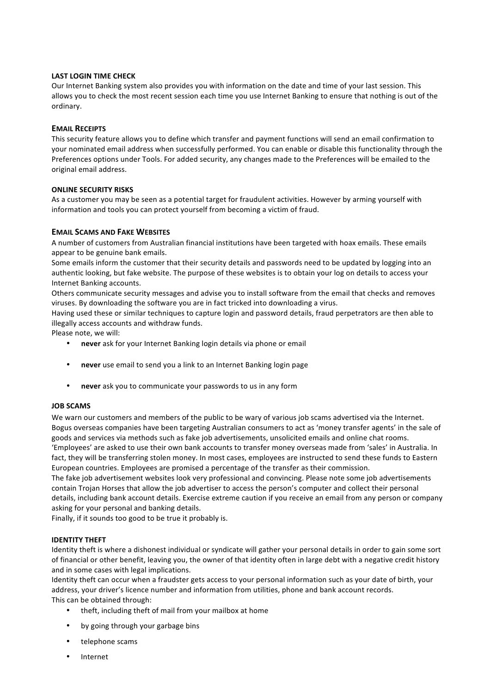## **LAST LOGIN TIME CHECK**

Our Internet Banking system also provides you with information on the date and time of your last session. This allows you to check the most recent session each time you use Internet Banking to ensure that nothing is out of the ordinary. 

#### **EMAIL RECEIPTS**

This security feature allows you to define which transfer and payment functions will send an email confirmation to your nominated email address when successfully performed. You can enable or disable this functionality through the Preferences options under Tools. For added security, any changes made to the Preferences will be emailed to the original email address.

#### **ONLINE SECURITY RISKS**

As a customer you may be seen as a potential target for fraudulent activities. However by arming yourself with information and tools you can protect yourself from becoming a victim of fraud.

#### **EMAIL SCAMS AND FAKE WEBSITES**

A number of customers from Australian financial institutions have been targeted with hoax emails. These emails appear to be genuine bank emails.

Some emails inform the customer that their security details and passwords need to be updated by logging into an authentic looking, but fake website. The purpose of these websites is to obtain your log on details to access your Internet Banking accounts.

Others communicate security messages and advise you to install software from the email that checks and removes viruses. By downloading the software you are in fact tricked into downloading a virus.

Having used these or similar techniques to capture login and password details, fraud perpetrators are then able to illegally access accounts and withdraw funds.

Please note, we will:

- **never** ask for your Internet Banking login details via phone or email
- never use email to send you a link to an Internet Banking login page
- never ask you to communicate your passwords to us in any form

#### **JOB SCAMS**

We warn our customers and members of the public to be wary of various job scams advertised via the Internet. Bogus overseas companies have been targeting Australian consumers to act as 'money transfer agents' in the sale of goods and services via methods such as fake job advertisements, unsolicited emails and online chat rooms. 'Employees' are asked to use their own bank accounts to transfer money overseas made from 'sales' in Australia. In fact, they will be transferring stolen money. In most cases, employees are instructed to send these funds to Eastern European countries. Employees are promised a percentage of the transfer as their commission.

The fake job advertisement websites look very professional and convincing. Please note some job advertisements contain Trojan Horses that allow the job advertiser to access the person's computer and collect their personal details, including bank account details. Exercise extreme caution if you receive an email from any person or company asking for your personal and banking details.

Finally, if it sounds too good to be true it probably is.

#### **IDENTITY THEFT**

Identity theft is where a dishonest individual or syndicate will gather your personal details in order to gain some sort of financial or other benefit, leaving you, the owner of that identity often in large debt with a negative credit history and in some cases with legal implications.

Identity theft can occur when a fraudster gets access to your personal information such as your date of birth, your address, your driver's licence number and information from utilities, phone and bank account records. This can be obtained through:

- theft, including theft of mail from your mailbox at home
- by going through your garbage bins
- telephone scams
- Internet